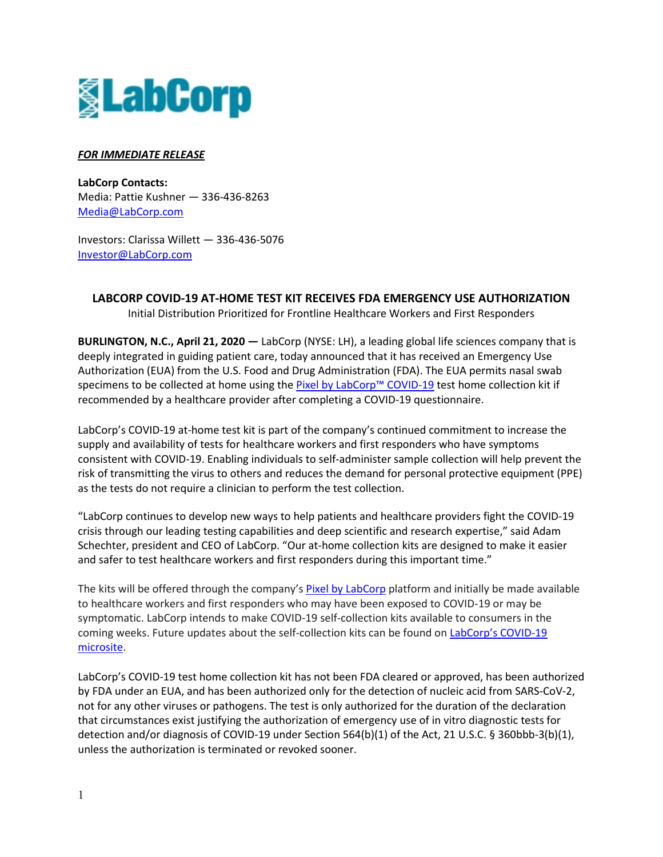

## *FOR IMMEDIATE RELEASE*

**LabCorp Contacts:** Media: Pattie Kushner — 336-436-8263 [Media@LabCorp.com](mailto:Media@LabCorp.com)

Investors: Clarissa Willett — 336-436-5076 [Investor@LabCorp.com](mailto:Investor@LabCorp.com)

**LABCORP COVID-19 AT-HOME TEST KIT RECEIVES FDA EMERGENCY USE AUTHORIZATION**

Initial Distribution Prioritized for Frontline Healthcare Workers and First Responders

**BURLINGTON, N.C., April 21, 2020 —** LabCorp (NYSE: LH), a leading global life sciences company that is deeply integrated in guiding patient care, today announced that it has received an Emergency Use Authorization (EUA) from the U.S. Food and Drug Administration (FDA). The EUA permits nasal swab specimens to be collected at home using th[e Pixel by LabCorp™](https://www.pixel.labcorp.com/covid-19) COVID-19 test home collection kit if recommended by a healthcare provider after completing a COVID-19 questionnaire.

LabCorp's COVID-19 at-home test kit is part of the company's continued commitment to increase the supply and availability of tests for healthcare workers and first responders who have symptoms consistent with COVID-19. Enabling individuals to self-administer sample collection will help prevent the risk of transmitting the virus to others and reduces the demand for personal protective equipment (PPE) as the tests do not require a clinician to perform the test collection.

"LabCorp continues to develop new ways to help patients and healthcare providers fight the COVID-19 crisis through our leading testing capabilities and deep scientific and research expertise," said Adam Schechter, president and CEO of LabCorp. "Our at-home collection kits are designed to make it easier and safer to test healthcare workers and first responders during this important time."

The kits will be offered through the company's [Pixel by LabCorp](https://www.pixel.labcorp.com/covid-19) platform and initially be made available to healthcare workers and first responders who may have been exposed to COVID-19 or may be symptomatic. LabCorp intends to make COVID-19 self-collection kits available to consumers in the coming weeks. Future updates about the self-collection kits can be found on [LabCorp's COVID-19](https://www.labcorp.com/COVID-19)  [microsite.](https://www.labcorp.com/COVID-19)

LabCorp's COVID-19 test home collection kit has not been FDA cleared or approved, has been authorized by FDA under an EUA, and has been authorized only for the detection of nucleic acid from SARS-CoV-2, not for any other viruses or pathogens. The test is only authorized for the duration of the declaration that circumstances exist justifying the authorization of emergency use of in vitro diagnostic tests for detection and/or diagnosis of COVID-19 under Section 564(b)(1) of the Act, 21 U.S.C. § 360bbb-3(b)(1), unless the authorization is terminated or revoked sooner.